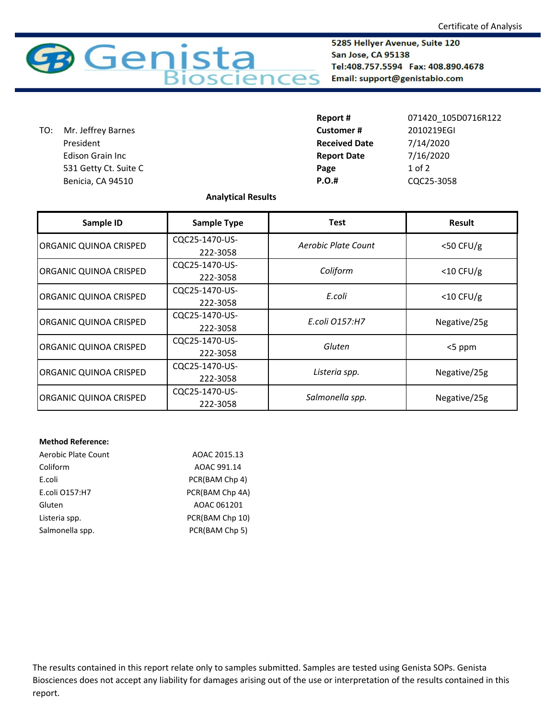

5285 Hellyer Avenue, Suite 120 San Jose, CA 95138 Tel:408.757.5594 Fax: 408.890.4678 Email: support@genistabio.com

 531 Getty Ct. Suite C **Page** Benicia, CA 94510 **P.** TO: Mr. Jeffrey Barnes President Edison Grain Inc

| Report#              | 071420 105D0716R122 |
|----------------------|---------------------|
| <b>Customer#</b>     | 2010219EGI          |
| <b>Received Date</b> | 7/14/2020           |
| <b>Report Date</b>   | 7/16/2020           |
| Page                 | $1$ of $2$          |
| <b>P.O.#</b>         | CQC25-3058          |

## **Analytical Results**

| Sample ID              | <b>Sample Type</b> | <b>Test</b>         | <b>Result</b> |
|------------------------|--------------------|---------------------|---------------|
| ORGANIC QUINOA CRISPED | CQC25-1470-US-     | Aerobic Plate Count | $<$ 50 CFU/g  |
|                        | 222-3058           |                     |               |
| ORGANIC QUINOA CRISPED | CQC25-1470-US-     | Coliform            | $<$ 10 CFU/g  |
|                        | 222-3058           |                     |               |
| ORGANIC QUINOA CRISPED | CQC25-1470-US-     | E.coli              | $<$ 10 CFU/g  |
|                        | 222-3058           |                     |               |
| ORGANIC QUINOA CRISPED | CQC25-1470-US-     | E.coli 0157:H7      | Negative/25g  |
|                        | 222-3058           |                     |               |
| ORGANIC QUINOA CRISPED | CQC25-1470-US-     | Gluten              | <5 ppm        |
|                        | 222-3058           |                     |               |
| ORGANIC QUINOA CRISPED | CQC25-1470-US-     |                     | Negative/25g  |
|                        | 222-3058           | Listeria spp.       |               |
| ORGANIC QUINOA CRISPED | CQC25-1470-US-     | Salmonella spp.     | Negative/25g  |
|                        | 222-3058           |                     |               |

## **Method Reference:**

| Aerobic Plate Count | AOAC 2015.13    |
|---------------------|-----------------|
| Coliform            | AOAC 991.14     |
| E.coli              | PCR(BAM Chp 4)  |
| E.coli 0157:H7      | PCR(BAM Chp 4A) |
| Gluten              | AOAC 061201     |
| Listeria spp.       | PCR(BAM Chp 10) |
| Salmonella spp.     | PCR(BAM Chp 5)  |

The results contained in this report relate only to samples submitted. Samples are tested using Genista SOPs. Genista Biosciences does not accept any liability for damages arising out of the use or interpretation of the results contained in this report.